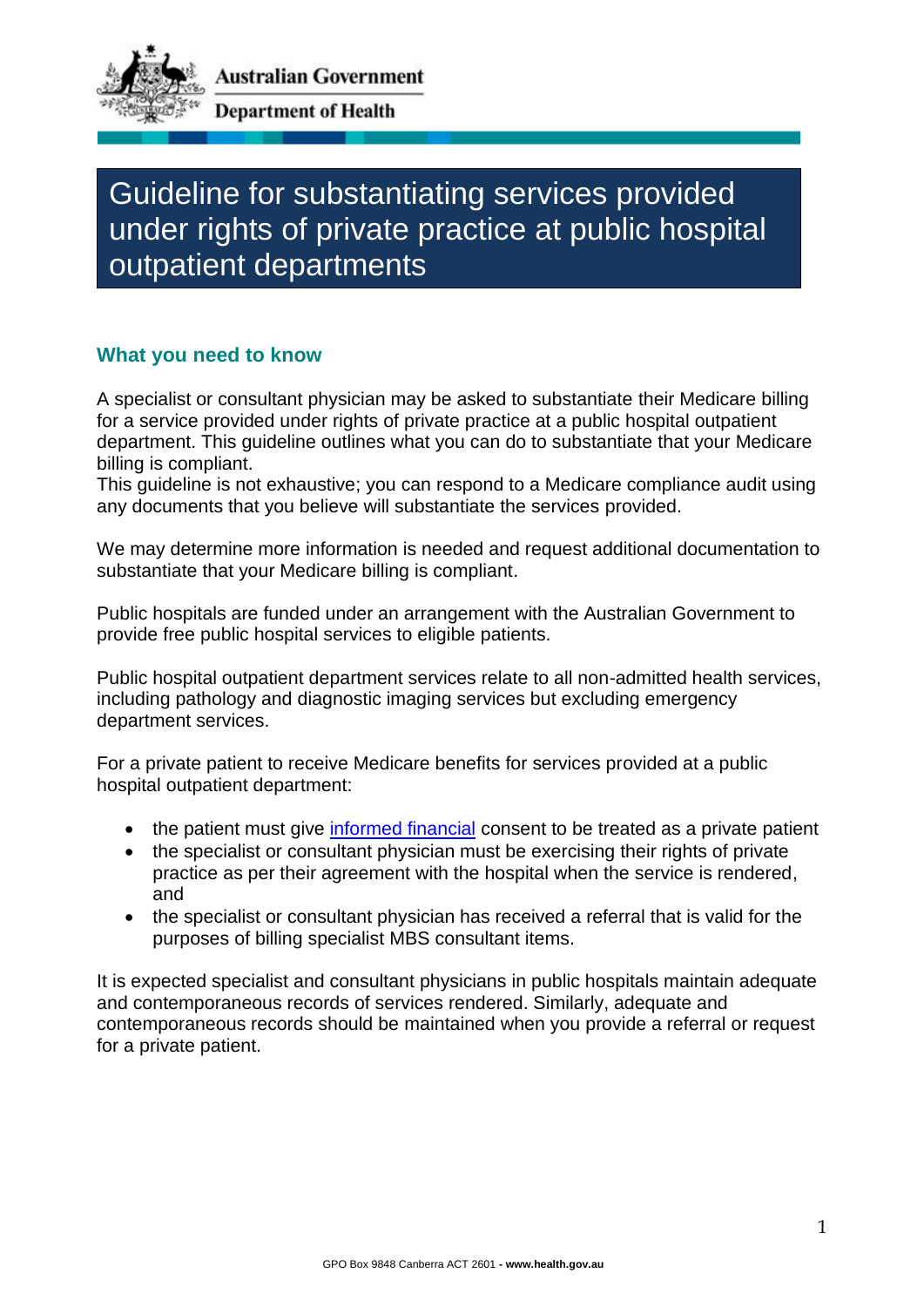

Guideline for substantiating services provided under rights of private practice at public hospital outpatient departments

## **What you need to know**

A specialist or consultant physician may be asked to substantiate their Medicare billing for a service provided under rights of private practice at a public hospital outpatient department. This guideline outlines what you can do to substantiate that your Medicare billing is compliant.

This guideline is not exhaustive; you can respond to a Medicare compliance audit using any documents that you believe will substantiate the services provided.

We may determine more information is needed and request additional documentation to substantiate that your Medicare billing is compliant.

Public hospitals are funded under an arrangement with the Australian Government to provide free public hospital services to eligible patients.

Public hospital outpatient department services relate to all non-admitted health services, including pathology and diagnostic imaging services but excluding emergency department services.

For a private patient to receive Medicare benefits for services provided at a public hospital outpatient department:

- the patient must give [informed financial](https://www.ama.com.au/sites/default/files/documents/230719%20-%20Informed%20Financial%20Consent%20Guide.pdf) consent to be treated as a private patient
- the specialist or consultant physician must be exercising their rights of private practice as per their agreement with the hospital when the service is rendered, and
- the specialist or consultant physician has received a referral that is valid for the purposes of billing specialist MBS consultant items.

It is expected specialist and consultant physicians in public hospitals maintain adequate and contemporaneous records of services rendered. Similarly, adequate and contemporaneous records should be maintained when you provide a referral or request for a private patient.